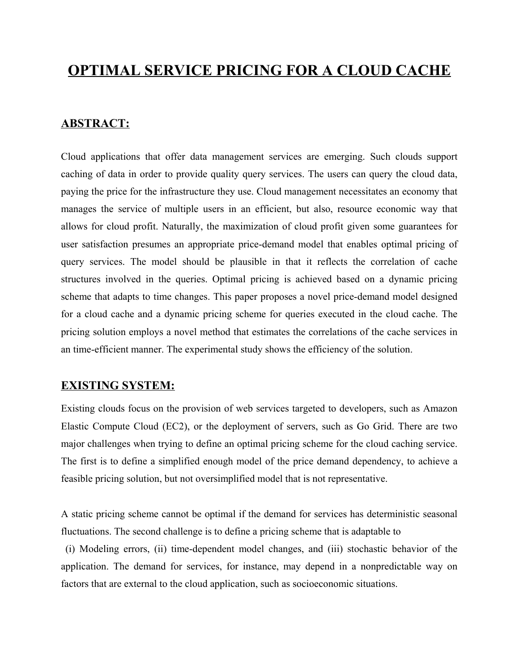# **OPTIMAL SERVICE PRICING FOR A CLOUD CACHE**

#### **ABSTRACT:**

Cloud applications that offer data management services are emerging. Such clouds support caching of data in order to provide quality query services. The users can query the cloud data, paying the price for the infrastructure they use. Cloud management necessitates an economy that manages the service of multiple users in an efficient, but also, resource economic way that allows for cloud profit. Naturally, the maximization of cloud profit given some guarantees for user satisfaction presumes an appropriate price-demand model that enables optimal pricing of query services. The model should be plausible in that it reflects the correlation of cache structures involved in the queries. Optimal pricing is achieved based on a dynamic pricing scheme that adapts to time changes. This paper proposes a novel price-demand model designed for a cloud cache and a dynamic pricing scheme for queries executed in the cloud cache. The pricing solution employs a novel method that estimates the correlations of the cache services in an time-efficient manner. The experimental study shows the efficiency of the solution.

#### **EXISTING SYSTEM:**

Existing clouds focus on the provision of web services targeted to developers, such as Amazon Elastic Compute Cloud (EC2), or the deployment of servers, such as Go Grid. There are two major challenges when trying to define an optimal pricing scheme for the cloud caching service. The first is to define a simplified enough model of the price demand dependency, to achieve a feasible pricing solution, but not oversimplified model that is not representative.

A static pricing scheme cannot be optimal if the demand for services has deterministic seasonal fluctuations. The second challenge is to define a pricing scheme that is adaptable to

(i) Modeling errors, (ii) time-dependent model changes, and (iii) stochastic behavior of the application. The demand for services, for instance, may depend in a nonpredictable way on factors that are external to the cloud application, such as socioeconomic situations.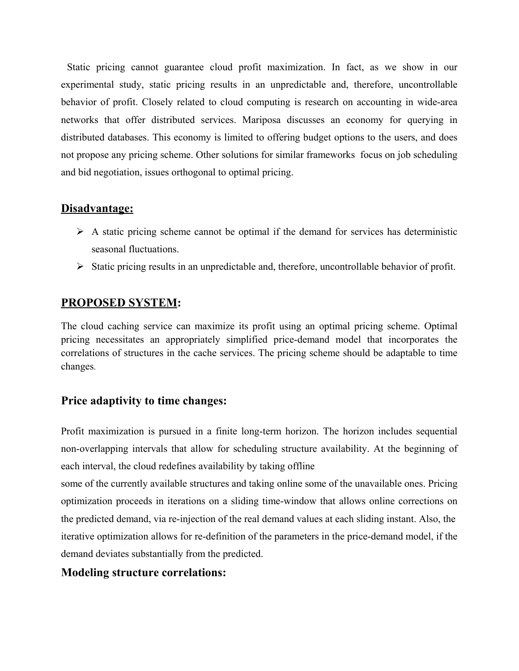Static pricing cannot guarantee cloud profit maximization. In fact, as we show in our experimental study, static pricing results in an unpredictable and, therefore, uncontrollable behavior of profit. Closely related to cloud computing is research on accounting in wide-area networks that offer distributed services. Mariposa discusses an economy for querying in distributed databases. This economy is limited to offering budget options to the users, and does not propose any pricing scheme. Other solutions for similar frameworks focus on job scheduling and bid negotiation, issues orthogonal to optimal pricing.

### **Disadvantage:**

- $\triangleright$  A static pricing scheme cannot be optimal if the demand for services has deterministic seasonal fluctuations.
- $\triangleright$  Static pricing results in an unpredictable and, therefore, uncontrollable behavior of profit.

### **PROPOSED SYSTEM:**

The cloud caching service can maximize its profit using an optimal pricing scheme. Optimal pricing necessitates an appropriately simplified price-demand model that incorporates the correlations of structures in the cache services. The pricing scheme should be adaptable to time changes.

### **Price adaptivity to time changes:**

Profit maximization is pursued in a finite long-term horizon. The horizon includes sequential non-overlapping intervals that allow for scheduling structure availability. At the beginning of each interval, the cloud redefines availability by taking offline

some of the currently available structures and taking online some of the unavailable ones. Pricing optimization proceeds in iterations on a sliding time-window that allows online corrections on the predicted demand, via re-injection of the real demand values at each sliding instant. Also, the iterative optimization allows for re-definition of the parameters in the price-demand model, if the demand deviates substantially from the predicted.

### **Modeling structure correlations:**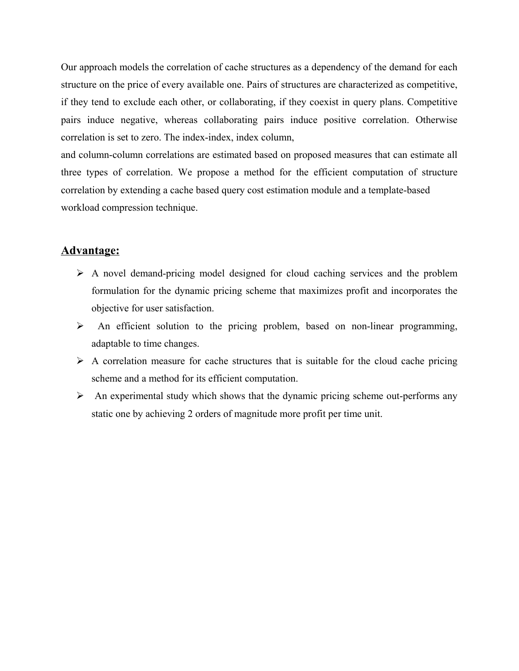Our approach models the correlation of cache structures as a dependency of the demand for each structure on the price of every available one. Pairs of structures are characterized as competitive, if they tend to exclude each other, or collaborating, if they coexist in query plans. Competitive pairs induce negative, whereas collaborating pairs induce positive correlation. Otherwise correlation is set to zero. The index-index, index column,

and column-column correlations are estimated based on proposed measures that can estimate all three types of correlation. We propose a method for the efficient computation of structure correlation by extending a cache based query cost estimation module and a template-based workload compression technique.

#### **Advantage:**

- $\triangleright$  A novel demand-pricing model designed for cloud caching services and the problem formulation for the dynamic pricing scheme that maximizes profit and incorporates the objective for user satisfaction.
- $\triangleright$  An efficient solution to the pricing problem, based on non-linear programming, adaptable to time changes.
- $\triangleright$  A correlation measure for cache structures that is suitable for the cloud cache pricing scheme and a method for its efficient computation.
- $\triangleright$  An experimental study which shows that the dynamic pricing scheme out-performs any static one by achieving 2 orders of magnitude more profit per time unit.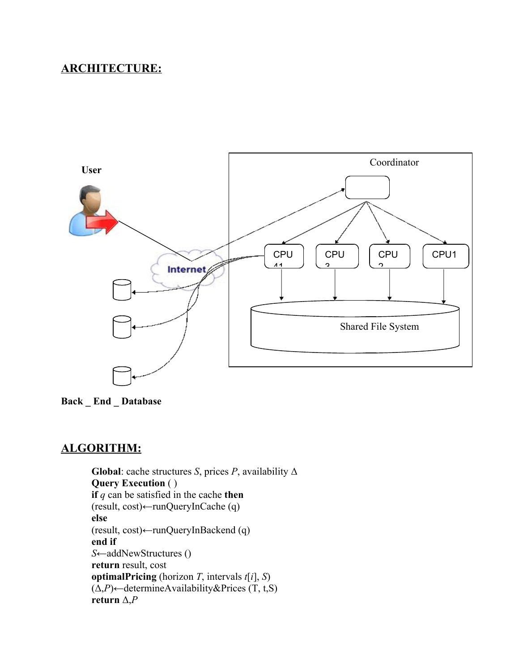## **ARCHITECTURE:**



**Back \_ End \_ Database**

## **ALGORITHM:**

**Global**: cache structures *S*, prices *P*, availability  $\Delta$ **Query Execution** ( ) **if** *q* can be satisfied in the cache **then**  $(result, cost) \leftarrow runQueryInCache (q)$ **else**  $(result, cost) \leftarrow runQueryInBackend (q)$ **end if** *S*←addNewStructures () **return** result, cost **optimalPricing** (horizon *T*, intervals *t*[*i*], *S*)  $(\Delta, P)$  
idetermineAvailability&Prices (T, t,S) **return**  $\Delta$ *,P*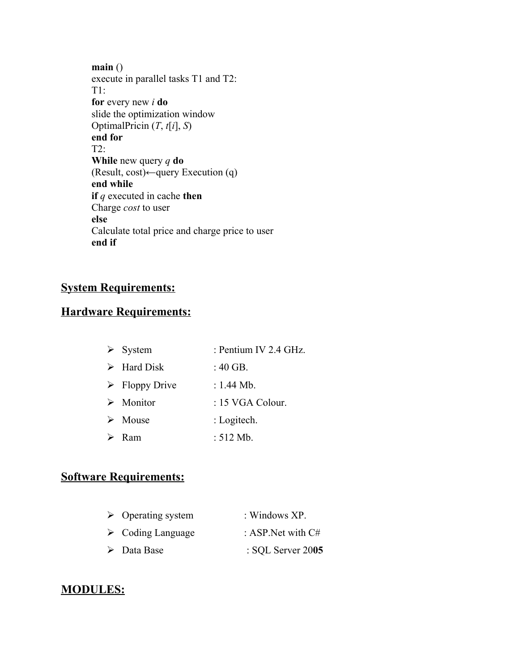**main** () execute in parallel tasks T1 and T2: T1: **for** every new *i* **do** slide the optimization window OptimalPricin (*T*, *t*[*i*], *S*) **end for** T2: **While** new query *q* **do** (Result, cost) $\leftarrow$ query Execution (q) **end while if** *q* executed in cache **then** Charge *cost* to user **else** Calculate total price and charge price to user **end if**

## **System Requirements:**

### **Hardware Requirements:**

|                  | $\triangleright$ System       | : Pentium IV 2.4 GHz. |
|------------------|-------------------------------|-----------------------|
|                  | $\triangleright$ Hard Disk    | : $40$ GB.            |
|                  | $\triangleright$ Floppy Drive | : $1.44$ Mb.          |
|                  | $\triangleright$ Monitor      | $: 15$ VGA Colour.    |
|                  | $\triangleright$ Mouse        | : Logitech.           |
| $\triangleright$ | - Ram                         | : $512$ Mb.           |

### **Software Requirements:**

| $\triangleright$ Operating system | : Windows $XP$ .             |
|-----------------------------------|------------------------------|
| $\triangleright$ Coding Language  | : ASP. Net with $C#$         |
| $\triangleright$ Data Base        | $\therefore$ SQL Server 2005 |

#### **MODULES:**